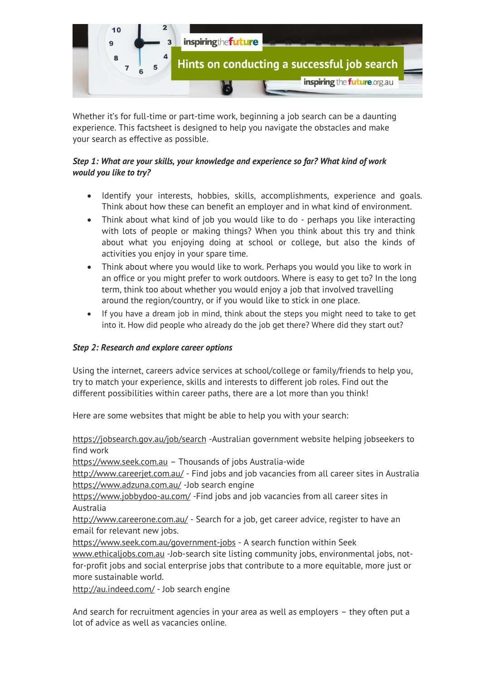

Whether it's for full-time or part-time work, beginning a job search can be a daunting experience. This factsheet is designed to help you navigate the obstacles and make your search as effective as possible.

## *Step 1: What are your skills, your knowledge and experience so far? What kind of work would you like to try?*

- Identify your interests, hobbies, skills, accomplishments, experience and goals. Think about how these can benefit an employer and in what kind of environment.
- Think about what kind of job you would like to do perhaps you like interacting with lots of people or making things? When you think about this try and think about what you enjoying doing at school or college, but also the kinds of activities you enjoy in your spare time.
- Think about where you would like to work. Perhaps you would you like to work in an office or you might prefer to work outdoors. Where is easy to get to? In the long term, think too about whether you would enjoy a job that involved travelling around the region/country, or if you would like to stick in one place.
- If you have a dream job in mind, think about the steps you might need to take to get into it. How did people who already do the job get there? Where did they start out?

## *Step 2: Research and explore career options*

Using the internet, careers advice services at school/college or family/friends to help you, try to match your experience, skills and interests to different job roles. Find out the different possibilities within career paths, there are a lot more than you think!

Here are some websites that might be able to help you with your search:

<https://jobsearch.gov.au/job/search> -Australian government website helping jobseekers to find work

[https://www.seek.com.au](https://www.seek.com.au/) – Thousands of jobs Australia-wide

<http://www.careerjet.com.au/> - Find jobs and job vacancies from all career sites in Australia <https://www.adzuna.com.au/> -Job search engine

<https://www.jobbydoo-au.com/> -Find jobs and job vacancies from all career sites in Australia

<http://www.careerone.com.au/> - Search for a job, get career advice, register to have an email for relevant new jobs.

<https://www.seek.com.au/government-jobs> - A search function within Seek

[www.ethicaljobs.com.au](http://www.ethicaljobs.com.au/) -Job-search site listing community jobs, environmental jobs, notfor-profit jobs and social enterprise jobs that contribute to a more equitable, more just or more sustainable world.

<http://au.indeed.com/> - Job search engine

And search for recruitment agencies in your area as well as employers – they often put a lot of advice as well as vacancies online.